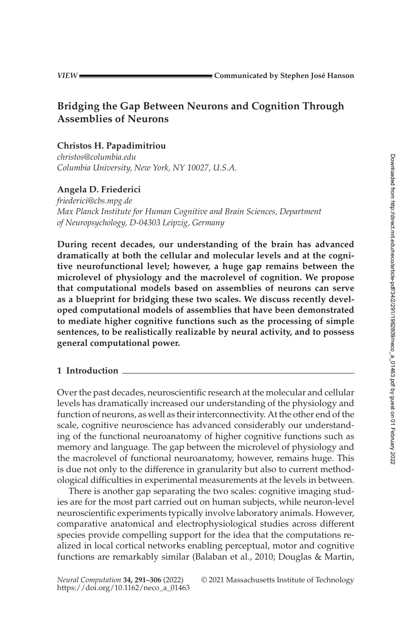# **Bridging the Gap Between Neurons and Cognition Through Assemblies of Neurons**

# **Christos H. Papadimitriou**

*[christos@columbia.edu](mailto:christos@columbia.edu) Columbia University, New York, NY 10027, U.S.A.*

# **Angela D. Friederici**

*[friederici@cbs.mpg.de](mailto:friederici@cbs.mpg.de) Max Planck Institute for Human Cognitive and Brain Sciences, Department of Neuropsychology, D-04303 Leipzig, Germany*

**During recent decades, our understanding of the brain has advanced dramatically at both the cellular and molecular levels and at the cognitive neurofunctional level; however, a huge gap remains between the microlevel of physiology and the macrolevel of cognition. We propose that computational models based on assemblies of neurons can serve as a blueprint for bridging these two scales. We discuss recently developed computational models of assemblies that have been demonstrated to mediate higher cognitive functions such as the processing of simple sentences, to be realistically realizable by neural activity, and to possess general computational power.**

### **1 Introduction**

Over the past decades, neuroscientific research at the molecular and cellular levels has dramatically increased our understanding of the physiology and function of neurons, as well as their interconnectivity. At the other end of the scale, cognitive neuroscience has advanced considerably our understanding of the functional neuroanatomy of higher cognitive functions such as memory and language. The gap between the microlevel of physiology and the macrolevel of functional neuroanatomy, however, remains huge. This is due not only to the difference in granularity but also to current methodological difficulties in experimental measurements at the levels in between.

There is another gap separating the two scales: cognitive imaging studies are for the most part carried out on human subjects, while neuron-level neuroscientific experiments typically involve laboratory animals. However, comparative anatomical and electrophysiological studies across different species provide compelling support for the idea that the computations realized in local cortical networks enabling perceptual, motor and cognitive functions are remarkably similar (Balaban et al., [2010;](#page-11-0) Douglas & Martin,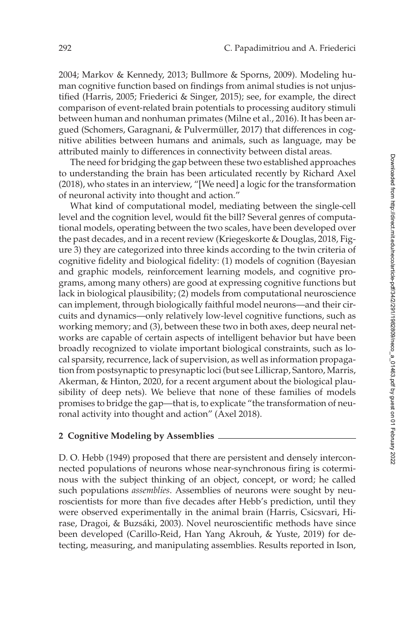[2004;](#page-12-0) Markov & Kennedy, [2013;](#page-13-0) Bullmore & Sporns, [2009\)](#page-12-1). Modeling human cognitive function based on findings from animal studies is not unjustified (Harris, [2005;](#page-13-1) Friederici & Singer, [2015\)](#page-13-2); see, for example, the direct comparison of event-related brain potentials to processing auditory stimuli between human and nonhuman primates (Milne et al., [2016\)](#page-13-3). It has been argued (Schomers, Garagnani, & Pulvermüller, [2017\)](#page-14-0) that differences in cognitive abilities between humans and animals, such as language, may be attributed mainly to differences in connectivity between distal areas.

The need for bridging the gap between these two established approaches to understanding the brain has been articulated recently by Richard Axel [\(2018\)](#page-11-1), who states in an interview, "[We need] a logic for the transformation of neuronal activity into thought and action."

What kind of computational model, mediating between the single-cell level and the cognition level, would fit the bill? Several genres of computational models, operating between the two scales, have been developed over the past decades, and in a recent review (Kriegeskorte & Douglas, [2018,](#page-13-4) Figure 3) they are categorized into three kinds according to the twin criteria of cognitive fidelity and biological fidelity: (1) models of cognition (Bayesian and graphic models, reinforcement learning models, and cognitive programs, among many others) are good at expressing cognitive functions but lack in biological plausibility; (2) models from computational neuroscience can implement, through biologically faithful model neurons—and their circuits and dynamics—only relatively low-level cognitive functions, such as working memory; and (3), between these two in both axes, deep neural networks are capable of certain aspects of intelligent behavior but have been broadly recognized to violate important biological constraints, such as local sparsity, recurrence, lack of supervision, as well as information propagation from postsynaptic to presynaptic loci (but see Lillicrap, Santoro, Marris, Akerman, & Hinton, 2020, for a recent argument about the biological plausibility of deep nets). We believe that none of these families of models promises to bridge the gap—that is, to explicate "the transformation of neuronal activity into thought and action" (Axel [2018\)](#page-11-1).

#### **2 Cognitive Modeling by Assemblies**

D. O. Hebb [\(1949\)](#page-13-5) proposed that there are persistent and densely interconnected populations of neurons whose near-synchronous firing is coterminous with the subject thinking of an object, concept, or word; he called such populations *assemblies*. Assemblies of neurons were sought by neuroscientists for more than five decades after Hebb's prediction, until they were observed experimentally in the animal brain (Harris, Csicsvari, Hirase, Dragoi, & Buzsáki, 2003). Novel neuroscientific methods have since been developed (Carillo-Reid, Han Yang Akrouh, & Yuste, 2019) for detecting, measuring, and manipulating assemblies. Results reported in Ison,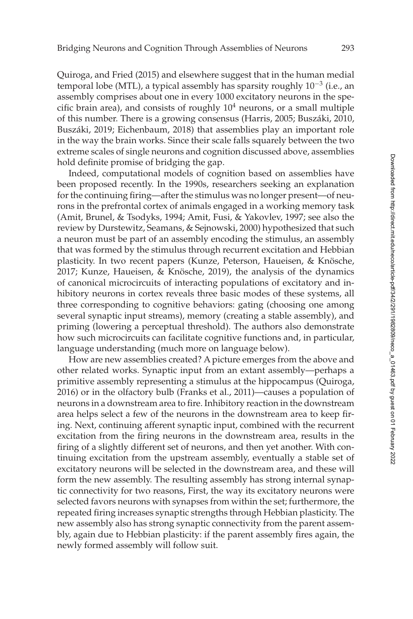Quiroga, and Fried [\(2015\)](#page-13-6) and elsewhere suggest that in the human medial temporal lobe (MTL), a typical assembly has sparsity roughly  $10^{-3}$  (i.e., an assembly comprises about one in every 1000 excitatory neurons in the specific brain area), and consists of roughly  $10<sup>4</sup>$  neurons, or a small multiple of this number. There is a growing consensus (Harris, [2005;](#page-13-1) Buszáki, [2010,](#page-12-2) Buszáki, [2019;](#page-12-3) Eichenbaum, [2018\)](#page-12-4) that assemblies play an important role in the way the brain works. Since their scale falls squarely between the two extreme scales of single neurons and cognition discussed above, assemblies hold definite promise of bridging the gap.

Indeed, computational models of cognition based on assemblies have been proposed recently. In the 1990s, researchers seeking an explanation for the continuing firing—after the stimulus was no longer present—of neurons in the prefrontal cortex of animals engaged in a working memory task (Amit, Brunel, & Tsodyks, [1994;](#page-11-2) Amit, Fusi, & Yakovlev, [1997;](#page-11-3) see also the review by Durstewitz, Seamans, & Sejnowski, [2000\)](#page-12-5) hypothesized that such a neuron must be part of an assembly encoding the stimulus, an assembly that was formed by the stimulus through recurrent excitation and Hebbian plasticity. In two recent papers (Kunze, Peterson, Haueisen, & Knösche, [2017;](#page-13-7) Kunze, Haueisen, & Knösche, [2019\)](#page-13-8), the analysis of the dynamics of canonical microcircuits of interacting populations of excitatory and inhibitory neurons in cortex reveals three basic modes of these systems, all three corresponding to cognitive behaviors: gating (choosing one among several synaptic input streams), memory (creating a stable assembly), and priming (lowering a perceptual threshold). The authors also demonstrate how such microcircuits can facilitate cognitive functions and, in particular, language understanding (much more on language below).

How are new assemblies created? A picture emerges from the above and other related works. Synaptic input from an extant assembly—perhaps a primitive assembly representing a stimulus at the hippocampus (Quiroga, [2016\)](#page-14-1) or in the olfactory bulb (Franks et al., [2011\)](#page-12-6)—causes a population of neurons in a downstream area to fire. Inhibitory reaction in the downstream area helps select a few of the neurons in the downstream area to keep firing. Next, continuing afferent synaptic input, combined with the recurrent excitation from the firing neurons in the downstream area, results in the firing of a slightly different set of neurons, and then yet another. With continuing excitation from the upstream assembly, eventually a stable set of excitatory neurons will be selected in the downstream area, and these will form the new assembly. The resulting assembly has strong internal synaptic connectivity for two reasons, First, the way its excitatory neurons were selected favors neurons with synapses from within the set; furthermore, the repeated firing increases synaptic strengths through Hebbian plasticity. The new assembly also has strong synaptic connectivity from the parent assembly, again due to Hebbian plasticity: if the parent assembly fires again, the newly formed assembly will follow suit.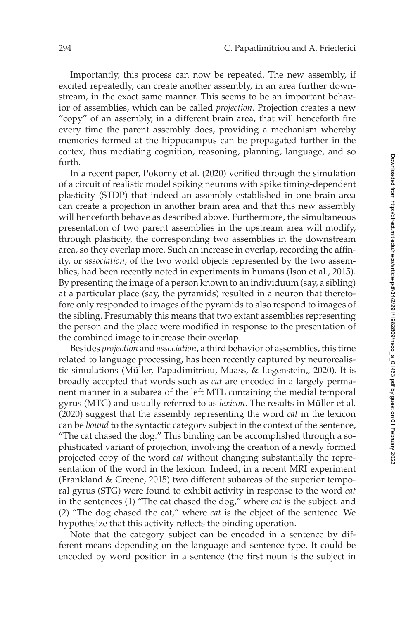Importantly, this process can now be repeated. The new assembly, if excited repeatedly, can create another assembly, in an area further downstream, in the exact same manner. This seems to be an important behavior of assemblies, which can be called *projection*. Projection creates a new "copy" of an assembly, in a different brain area, that will henceforth fire every time the parent assembly does, providing a mechanism whereby memories formed at the hippocampus can be propagated further in the cortex, thus mediating cognition, reasoning, planning, language, and so forth.

In a recent paper, Pokorny et al. [\(2020\)](#page-14-2) verified through the simulation of a circuit of realistic model spiking neurons with spike timing-dependent plasticity (STDP) that indeed an assembly established in one brain area can create a projection in another brain area and that this new assembly will henceforth behave as described above. Furthermore, the simultaneous presentation of two parent assemblies in the upstream area will modify, through plasticity, the corresponding two assemblies in the downstream area, so they overlap more. Such an increase in overlap, recording the affinity, or *association,* of the two world objects represented by the two assemblies, had been recently noted in experiments in humans (Ison et al., [2015\)](#page-13-6). By presenting the image of a person known to an individuum (say, a sibling) at a particular place (say, the pyramids) resulted in a neuron that theretofore only responded to images of the pyramids to also respond to images of the sibling. Presumably this means that two extant assemblies representing the person and the place were modified in response to the presentation of the combined image to increase their overlap.

Besides *projection* and *association*, a third behavior of assemblies, this time related to language processing, has been recently captured by neurorealis-tic simulations (Müller, Papadimitriou, Maass, & Legenstein,, [2020\)](#page-14-3). It is broadly accepted that words such as *cat* are encoded in a largely permanent manner in a subarea of the left MTL containing the medial temporal gyrus (MTG) and usually referred to as *lexicon*. The results in Müller et al. [\(2020\)](#page-14-3) suggest that the assembly representing the word *cat* in the lexicon can be *bound* to the syntactic category subject in the context of the sentence, "The cat chased the dog." This binding can be accomplished through a sophisticated variant of projection, involving the creation of a newly formed projected copy of the word *cat* without changing substantially the representation of the word in the lexicon. Indeed, in a recent MRI experiment (Frankland & Greene, [2015\)](#page-12-7) two different subareas of the superior temporal gyrus (STG) were found to exhibit activity in response to the word *cat* in the sentences (1) "The cat chased the dog," where *cat* is the subject. and (2) "The dog chased the cat," where *cat* is the object of the sentence. We hypothesize that this activity reflects the binding operation.

Note that the category subject can be encoded in a sentence by different means depending on the language and sentence type. It could be encoded by word position in a sentence (the first noun is the subject in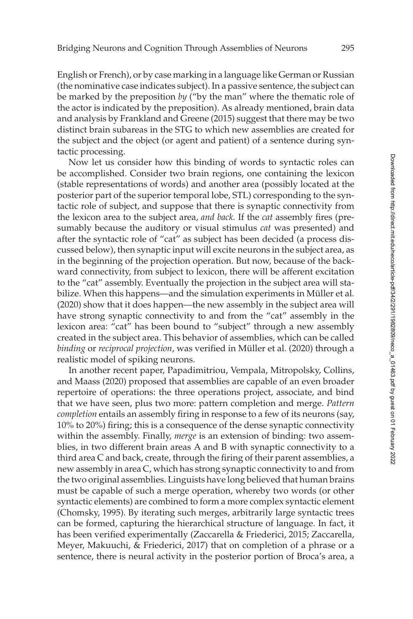English or French), or by case marking in a language like German or Russian (the nominative case indicates subject). In a passive sentence, the subject can be marked by the preposition *by* ("by the man" where the thematic role of the actor is indicated by the preposition). As already mentioned, brain data and analysis by Frankland and Greene [\(2015\)](#page-12-7) suggest that there may be two distinct brain subareas in the STG to which new assemblies are created for the subject and the object (or agent and patient) of a sentence during syntactic processing.

Now let us consider how this binding of words to syntactic roles can be accomplished. Consider two brain regions, one containing the lexicon (stable representations of words) and another area (possibly located at the posterior part of the superior temporal lobe, STL) corresponding to the syntactic role of subject, and suppose that there is synaptic connectivity from the lexicon area to the subject area, *and back.* If the *cat* assembly fires (presumably because the auditory or visual stimulus *cat* was presented) and after the syntactic role of "cat" as subject has been decided (a process discussed below), then synaptic input will excite neurons in the subject area, as in the beginning of the projection operation. But now, because of the backward connectivity, from subject to lexicon, there will be afferent excitation to the "cat" assembly. Eventually the projection in the subject area will stabilize. When this happens—and the simulation experiments in Müller et al. [\(2020\)](#page-14-3) show that it does happen—the new assembly in the subject area will have strong synaptic connectivity to and from the "cat" assembly in the lexicon area: "cat" has been bound to "subject" through a new assembly created in the subject area. This behavior of assemblies, which can be called *binding* or *reciprocal projection*, was verified in Müller et al. [\(2020\)](#page-14-3) through a realistic model of spiking neurons.

In another recent paper, Papadimitriou, Vempala, Mitropolsky, Collins, and Maass [\(2020\)](#page-14-4) proposed that assemblies are capable of an even broader repertoire of operations: the three operations project, associate, and bind that we have seen, plus two more: pattern completion and merge. *Pattern completion* entails an assembly firing in response to a few of its neurons (say, 10% to 20%) firing; this is a consequence of the dense synaptic connectivity within the assembly. Finally, *merge* is an extension of binding: two assemblies, in two different brain areas A and B with synaptic connectivity to a third area C and back, create, through the firing of their parent assemblies, a new assembly in area C, which has strong synaptic connectivity to and from the two original assemblies. Linguists have long believed that human brains must be capable of such a merge operation, whereby two words (or other syntactic elements) are combined to form a more complex syntactic element (Chomsky, [1995\)](#page-12-8). By iterating such merges, arbitrarily large syntactic trees can be formed, capturing the hierarchical structure of language. In fact, it has been verified experimentally (Zaccarella & Friederici, [2015;](#page-15-0) Zaccarella, Meyer, Makuuchi, & Friederici, [2017\)](#page-15-1) that on completion of a phrase or a sentence, there is neural activity in the posterior portion of Broca's area, a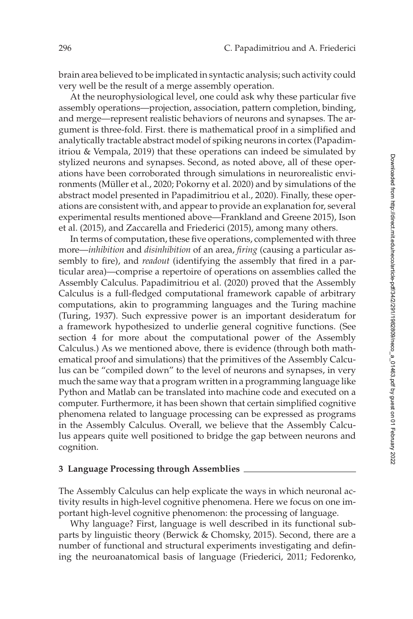brain area believed to be implicated in syntactic analysis; such activity could very well be the result of a merge assembly operation.

At the neurophysiological level, one could ask why these particular five assembly operations—projection, association, pattern completion, binding, and merge—represent realistic behaviors of neurons and synapses. The argument is three-fold. First. there is mathematical proof in a simplified and analytically tractable abstract model of spiking neurons in cortex (Papadimitriou & Vempala, [2019\)](#page-14-5) that these operations can indeed be simulated by stylized neurons and synapses. Second, as noted above, all of these operations have been corroborated through simulations in neurorealistic environments (Müller et al., [2020;](#page-14-3) Pokorny et al. [2020\)](#page-14-2) and by simulations of the abstract model presented in Papadimitriou et al., [2020\)](#page-14-4). Finally, these operations are consistent with, and appear to provide an explanation for, several experimental results mentioned above—Frankland and Greene [2015\)](#page-12-7), Ison et al. [\(2015\)](#page-13-6), and Zaccarella and Friederici [\(2015\)](#page-15-0), among many others.

In terms of computation, these five operations, complemented with three more—*inhibition* and *disinhibition* of an area, *firing* (causing a particular assembly to fire), and *readout* (identifying the assembly that fired in a particular area)—comprise a repertoire of operations on assemblies called the Assembly Calculus. Papadimitriou et al. [\(2020\)](#page-14-4) proved that the Assembly Calculus is a full-fledged computational framework capable of arbitrary computations, akin to programming languages and the Turing machine (Turing, [1937\)](#page-14-6). Such expressive power is an important desideratum for a framework hypothesized to underlie general cognitive functions. (See section [4](#page-10-0) for more about the computational power of the Assembly Calculus.) As we mentioned above, there is evidence (through both mathematical proof and simulations) that the primitives of the Assembly Calculus can be "compiled down" to the level of neurons and synapses, in very much the same way that a program written in a programming language like Python and Matlab can be translated into machine code and executed on a computer. Furthermore, it has been shown that certain simplified cognitive phenomena related to language processing can be expressed as programs in the Assembly Calculus. Overall, we believe that the Assembly Calculus appears quite well positioned to bridge the gap between neurons and cognition.

#### **3 Language Processing through Assemblies**

The Assembly Calculus can help explicate the ways in which neuronal activity results in high-level cognitive phenomena. Here we focus on one important high-level cognitive phenomenon: the processing of language.

Why language? First, language is well described in its functional subparts by linguistic theory (Berwick & Chomsky, [2015\)](#page-12-9). Second, there are a number of functional and structural experiments investigating and defining the neuroanatomical basis of language (Friederici, [2011;](#page-13-9) Fedorenko,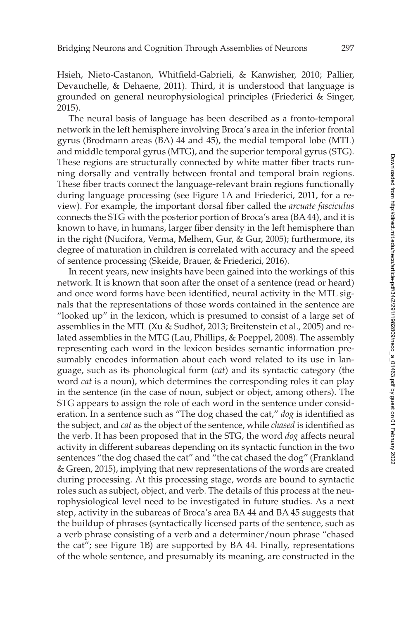Hsieh, Nieto-Castanon, Whitfield-Gabrieli, & Kanwisher, [2010;](#page-12-10) Pallier, Devauchelle, & Dehaene, [2011\)](#page-14-7). Third, it is understood that language is grounded on general neurophysiological principles (Friederici & Singer, [2015\)](#page-13-2).

The neural basis of language has been described as a fronto-temporal network in the left hemisphere involving Broca's area in the inferior frontal gyrus (Brodmann areas (BA) 44 and 45), the medial temporal lobe (MTL) and middle temporal gyrus (MTG), and the superior temporal gyrus (STG). These regions are structurally connected by white matter fiber tracts running dorsally and ventrally between frontal and temporal brain regions. These fiber tracts connect the language-relevant brain regions functionally during language processing (see Figure [1A](#page-7-0) and Friederici, [2011,](#page-13-9) for a review). For example, the important dorsal fiber called the *arcuate fasciculus* connects the STG with the posterior portion of Broca's area (BA 44), and it is known to have, in humans, larger fiber density in the left hemisphere than in the right (Nucifora, Verma, Melhem, Gur, & Gur, [2005\)](#page-14-8); furthermore, its degree of maturation in children is correlated with accuracy and the speed of sentence processing (Skeide, Brauer, & Friederici, [2016\)](#page-14-9).

In recent years, new insights have been gained into the workings of this network. It is known that soon after the onset of a sentence (read or heard) and once word forms have been identified, neural activity in the MTL signals that the representations of those words contained in the sentence are "looked up" in the lexicon, which is presumed to consist of a large set of assemblies in the MTL (Xu & Sudhof, [2013;](#page-14-10) Breitenstein et al., [2005\)](#page-12-11) and related assemblies in the MTG (Lau, Phillips, & Poeppel, [2008\)](#page-13-7). The assembly representing each word in the lexicon besides semantic information presumably encodes information about each word related to its use in language, such as its phonological form (*cat*) and its syntactic category (the word *cat* is a noun), which determines the corresponding roles it can play in the sentence (in the case of noun, subject or object, among others). The STG appears to assign the role of each word in the sentence under consideration. In a sentence such as "The dog chased the cat," *dog* is identified as the subject, and *cat* as the object of the sentence, while *chased* is identified as the verb. It has been proposed that in the STG, the word *dog* affects neural activity in different subareas depending on its syntactic function in the two sentences "the dog chased the cat" and "the cat chased the dog" (Frankland & Green, [2015\)](#page-12-7), implying that new representations of the words are created during processing. At this processing stage, words are bound to syntactic roles such as subject, object, and verb. The details of this process at the neurophysiological level need to be investigated in future studies. As a next step, activity in the subareas of Broca's area BA 44 and BA 45 suggests that the buildup of phrases (syntactically licensed parts of the sentence, such as a verb phrase consisting of a verb and a determiner/noun phrase "chased the cat"; see Figure [1B](#page-7-0)) are supported by BA 44. Finally, representations of the whole sentence, and presumably its meaning, are constructed in the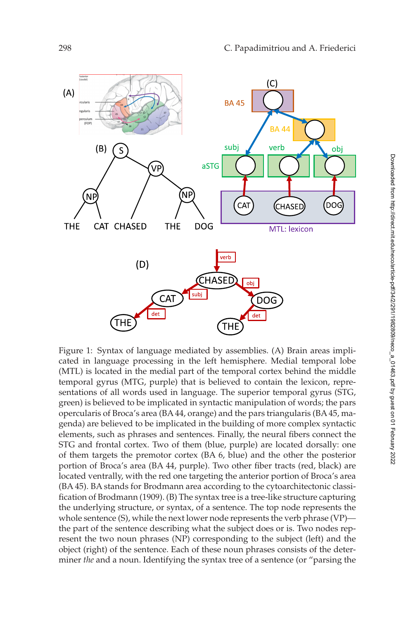<span id="page-7-0"></span>

Figure 1: Syntax of language mediated by assemblies. (A) Brain areas implicated in language processing in the left hemisphere. Medial temporal lobe (MTL) is located in the medial part of the temporal cortex behind the middle temporal gyrus (MTG, purple) that is believed to contain the lexicon, representations of all words used in language. The superior temporal gyrus (STG, green) is believed to be implicated in syntactic manipulation of words; the pars opercularis of Broca's area (BA 44, orange) and the pars triangularis (BA 45, magenda) are believed to be implicated in the building of more complex syntactic elements, such as phrases and sentences. Finally, the neural fibers connect the STG and frontal cortex. Two of them (blue, purple) are located dorsally: one of them targets the premotor cortex (BA 6, blue) and the other the posterior portion of Broca's area (BA 44, purple). Two other fiber tracts (red, black) are located ventrally, with the red one targeting the anterior portion of Broca's area (BA 45). BA stands for Brodmann area according to the cytoarchitectonic classification of Brodmann [\(1909\)](#page-12-12). (B) The syntax tree is a tree-like structure capturing the underlying structure, or syntax, of a sentence. The top node represents the whole sentence (S), while the next lower node represents the verb phrase (VP) the part of the sentence describing what the subject does or is. Two nodes represent the two noun phrases (NP) corresponding to the subject (left) and the object (right) of the sentence. Each of these noun phrases consists of the determiner *the* and a noun. Identifying the syntax tree of a sentence (or "parsing the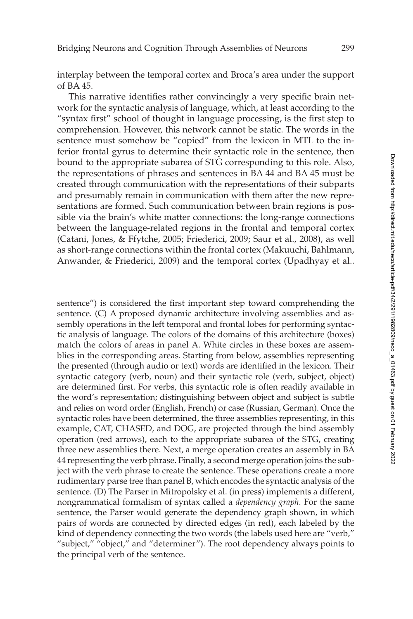interplay between the temporal cortex and Broca's area under the support of BA 45.

This narrative identifies rather convincingly a very specific brain network for the syntactic analysis of language, which, at least according to the "syntax first" school of thought in language processing, is the first step to comprehension. However, this network cannot be static. The words in the sentence must somehow be "copied" from the lexicon in MTL to the inferior frontal gyrus to determine their syntactic role in the sentence, then bound to the appropriate subarea of STG corresponding to this role. Also, the representations of phrases and sentences in BA 44 and BA 45 must be created through communication with the representations of their subparts and presumably remain in communication with them after the new representations are formed. Such communication between brain regions is possible via the brain's white matter connections: the long-range connections between the language-related regions in the frontal and temporal cortex (Catani, Jones, & Ffytche, [2005;](#page-12-13) Friederici, [2009;](#page-12-14) Saur et al., [2008\)](#page-14-11), as well as short-range connections within the frontal cortex (Makuuchi, Bahlmann, Anwander, & Friederici, [2009\)](#page-13-0) and the temporal cortex (Upadhyay et al..

sentence") is considered the first important step toward comprehending the sentence. (C) A proposed dynamic architecture involving assemblies and assembly operations in the left temporal and frontal lobes for performing syntactic analysis of language. The colors of the domains of this architecture (boxes) match the colors of areas in panel A. White circles in these boxes are assemblies in the corresponding areas. Starting from below, assemblies representing the presented (through audio or text) words are identified in the lexicon. Their syntactic category (verb, noun) and their syntactic role (verb, subject, object) are determined first. For verbs, this syntactic role is often readily available in the word's representation; distinguishing between object and subject is subtle and relies on word order (English, French) or case (Russian, German). Once the syntactic roles have been determined, the three assemblies representing, in this example, CAT, CHASED, and DOG, are projected through the bind assembly operation (red arrows), each to the appropriate subarea of the STG, creating three new assemblies there. Next, a merge operation creates an assembly in BA 44 representing the verb phrase. Finally, a second merge operation joins the subject with the verb phrase to create the sentence. These operations create a more rudimentary parse tree than panel B, which encodes the syntactic analysis of the sentence. (D) The Parser in Mitropolsky et al. (in press) implements a different, nongrammatical formalism of syntax called a *dependency graph*. For the same sentence, the Parser would generate the dependency graph shown, in which pairs of words are connected by directed edges (in red), each labeled by the kind of dependency connecting the two words (the labels used here are "verb," "subject," "object," and "determiner"). The root dependency always points to the principal verb of the sentence.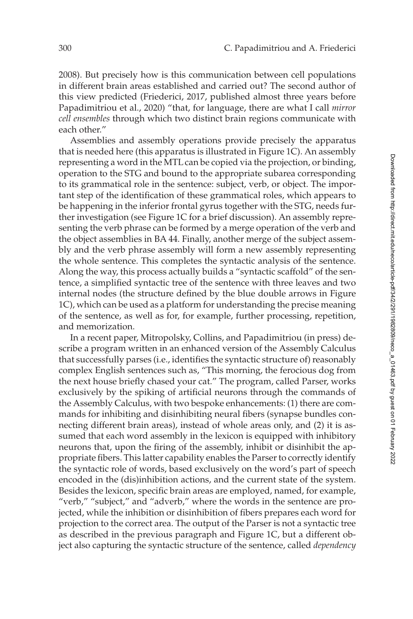[2008\)](#page-14-12). But precisely how is this communication between cell populations in different brain areas established and carried out? The second author of this view predicted (Friederici, [2017,](#page-13-10) published almost three years before Papadimitriou et al., [2020\)](#page-14-4) "that, for language, there are what I call *mirror cell ensembles* through which two distinct brain regions communicate with each other."

Assemblies and assembly operations provide precisely the apparatus that is needed here (this apparatus is illustrated in Figure [1C](#page-7-0)). An assembly representing a word in the MTL can be copied via the projection, or binding, operation to the STG and bound to the appropriate subarea corresponding to its grammatical role in the sentence: subject, verb, or object. The important step of the identification of these grammatical roles, which appears to be happening in the inferior frontal gyrus together with the STG, needs further investigation (see Figure [1C](#page-7-0) for a brief discussion). An assembly representing the verb phrase can be formed by a merge operation of the verb and the object assemblies in BA 44. Finally, another merge of the subject assembly and the verb phrase assembly will form a new assembly representing the whole sentence. This completes the syntactic analysis of the sentence. Along the way, this process actually builds a "syntactic scaffold" of the sentence, a simplified syntactic tree of the sentence with three leaves and two internal nodes (the structure defined by the blue double arrows in Figure [1C](#page-7-0)), which can be used as a platform for understanding the precise meaning of the sentence, as well as for, for example, further processing, repetition, and memorization.

In a recent paper, Mitropolsky, Collins, and Papadimitriou (in press) describe a program written in an enhanced version of the Assembly Calculus that successfully parses (i.e., identifies the syntactic structure of) reasonably complex English sentences such as, "This morning, the ferocious dog from the next house briefly chased your cat." The program, called Parser, works exclusively by the spiking of artificial neurons through the commands of the Assembly Calculus, with two bespoke enhancements: (1) there are commands for inhibiting and disinhibiting neural fibers (synapse bundles connecting different brain areas), instead of whole areas only, and (2) it is assumed that each word assembly in the lexicon is equipped with inhibitory neurons that, upon the firing of the assembly, inhibit or disinhibit the appropriate fibers. This latter capability enables the Parser to correctly identify the syntactic role of words, based exclusively on the word's part of speech encoded in the (dis)inhibition actions, and the current state of the system. Besides the lexicon, specific brain areas are employed, named, for example, "verb," "subject," and "adverb," where the words in the sentence are projected, while the inhibition or disinhibition of fibers prepares each word for projection to the correct area. The output of the Parser is not a syntactic tree as described in the previous paragraph and Figure [1C](#page-7-0), but a different object also capturing the syntactic structure of the sentence, called *dependency*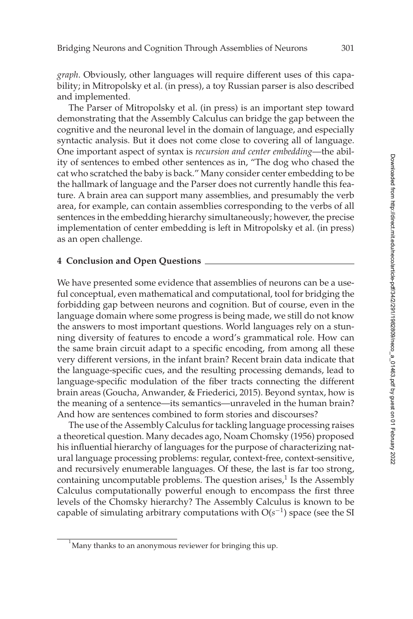*graph*. Obviously, other languages will require different uses of this capability; in Mitropolsky et al. (in press), a toy Russian parser is also described and implemented.

The Parser of Mitropolsky et al. (in press) is an important step toward demonstrating that the Assembly Calculus can bridge the gap between the cognitive and the neuronal level in the domain of language, and especially syntactic analysis. But it does not come close to covering all of language. One important aspect of syntax is *recursion and center embedding*—the ability of sentences to embed other sentences as in, "The dog who chased the cat who scratched the baby is back." Many consider center embedding to be the hallmark of language and the Parser does not currently handle this feature. A brain area can support many assemblies, and presumably the verb area, for example, can contain assemblies corresponding to the verbs of all sentences in the embedding hierarchy simultaneously; however, the precise implementation of center embedding is left in Mitropolsky et al. (in press) as an open challenge.

## <span id="page-10-0"></span>**4 Conclusion and Open Questions**

We have presented some evidence that assemblies of neurons can be a useful conceptual, even mathematical and computational, tool for bridging the forbidding gap between neurons and cognition. But of course, even in the language domain where some progress is being made, we still do not know the answers to most important questions. World languages rely on a stunning diversity of features to encode a word's grammatical role. How can the same brain circuit adapt to a specific encoding, from among all these very different versions, in the infant brain? Recent brain data indicate that the language-specific cues, and the resulting processing demands, lead to language-specific modulation of the fiber tracts connecting the different brain areas (Goucha, Anwander, & Friederici, [2015\)](#page-13-11). Beyond syntax, how is the meaning of a sentence—its semantics—unraveled in the human brain? And how are sentences combined to form stories and discourses?

The use of the Assembly Calculus for tackling language processing raises a theoretical question. Many decades ago, Noam Chomsky [\(1956\)](#page-12-15) proposed his influential hierarchy of languages for the purpose of characterizing natural language processing problems: regular, context-free, context-sensitive, and recursively enumerable languages. Of these, the last is far too strong, containing uncomputable problems. The question arises, $<sup>1</sup>$  Is the Assembly</sup> Calculus computationally powerful enough to encompass the first three levels of the Chomsky hierarchy? The Assembly Calculus is known to be capable of simulating arbitrary computations with O(*s*−1) space (see the SI

<span id="page-10-1"></span> $^{1}$ Many thanks to an anonymous reviewer for bringing this up.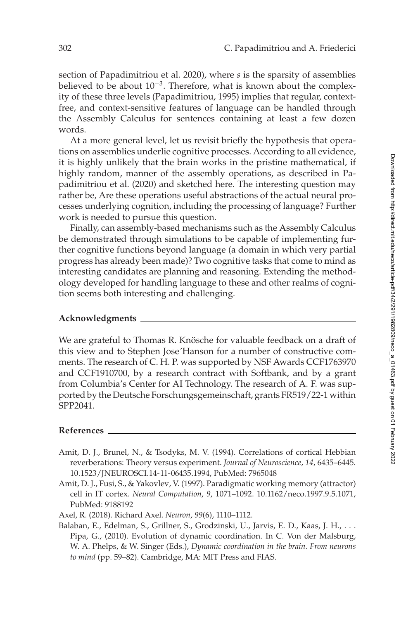section of Papadimitriou et al. [2020\)](#page-14-4), where *s* is the sparsity of assemblies believed to be about 10<sup>-3</sup>. Therefore, what is known about the complexity of these three levels (Papadimitriou, [1995\)](#page-14-13) implies that regular, contextfree, and context-sensitive features of language can be handled through the Assembly Calculus for sentences containing at least a few dozen words.

At a more general level, let us revisit briefly the hypothesis that operations on assemblies underlie cognitive processes. According to all evidence, it is highly unlikely that the brain works in the pristine mathematical, if highly random, manner of the assembly operations, as described in Papadimitriou et al. [\(2020\)](#page-14-4) and sketched here. The interesting question may rather be, Are these operations useful abstractions of the actual neural processes underlying cognition, including the processing of language? Further work is needed to pursue this question.

Finally, can assembly-based mechanisms such as the Assembly Calculus be demonstrated through simulations to be capable of implementing further cognitive functions beyond language (a domain in which very partial progress has already been made)? Two cognitive tasks that come to mind as interesting candidates are planning and reasoning. Extending the methodology developed for handling language to these and other realms of cognition seems both interesting and challenging.

## **Acknowledgments**

We are grateful to Thomas R. Knösche for valuable feedback on a draft of this view and to Stephen Jose´Hanson for a number of constructive comments. The research of C. H. P. was supported by NSF Awards CCF1763970 and CCF1910700, by a research contract with Softbank, and by a grant from Columbia's Center for AI Technology. The research of A. F. was supported by the Deutsche Forschungsgemeinschaft, grants FR519/22-1 within SPP2041.

# **References**

- <span id="page-11-2"></span>Amit, D. J., Brunel, N., & Tsodyks, M. V. (1994). Correlations of cortical Hebbian reverberations: Theory versus experiment. *Journal of Neuroscience*, *14*, 6435–6445. 10.[1523/JNEUROSCI](https://doi.org/10.1523/JNEUROSCI.14-11-06435.1994).14-11-06435.1994, PubMed: [7965048](https://www.ncbi.nlm.nih.gov/pubmed/7965048)
- <span id="page-11-3"></span>Amit, D. J., Fusi, S., & Yakovlev, V. (1997). Paradigmatic working memory (attractor) cell in IT cortex. *Neural Computation*, *9*, 1071–1092. 10.[1162/neco](https://doi.org/10.1162/neco.1997.9.5.1071).1997.9.5.1071, PubMed: [9188192](https://www.ncbi.nlm.nih.gov/pubmed/9188192)

<span id="page-11-1"></span>Axel, R. (2018). Richard Axel. *Neuron*, *99*(6), 1110–1112.

<span id="page-11-0"></span>Balaban, E., Edelman, S., Grillner, S., Grodzinski, U., Jarvis, E. D., Kaas, J. H., . . . Pipa, G., (2010). Evolution of dynamic coordination. In C. Von der Malsburg, W. A. Phelps, & W. Singer (Eds.), *Dynamic coordination in the brain. From neurons to mind* (pp. 59–82). Cambridge, MA: MIT Press and FIAS.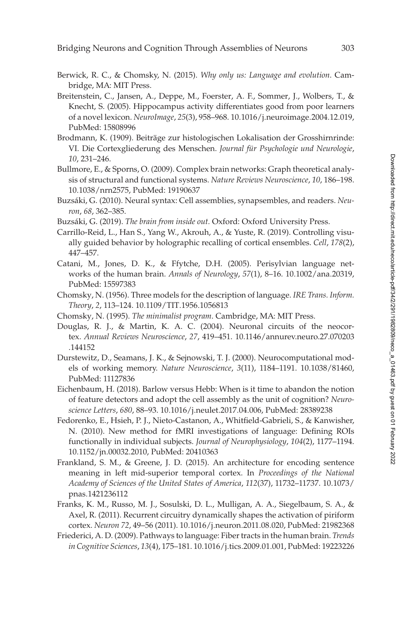- <span id="page-12-9"></span>Berwick, R. C., & Chomsky, N. (2015). *Why only us: Language and evolution*. Cambridge, MA: MIT Press.
- <span id="page-12-11"></span>Breitenstein, C., Jansen, A., Deppe, M., Foerster, A. F., Sommer, J., Wolbers, T., & Knecht, S. (2005). Hippocampus activity differentiates good from poor learners of a novel lexicon. *NeuroImage*, *25*(3), 958–968. 10.1016/j.[neuroimage](https://doi.org/10.1016/j.neuroimage.2004.12.019).2004.12.019, PubMed: [15808996](https://www.ncbi.nlm.nih.gov/pubmed/15808996)
- <span id="page-12-12"></span>Brodmann, K. (1909). Beiträge zur histologischen Lokalisation der Grosshirnrinde: VI. Die Cortexgliederung des Menschen. *Journal für Psychologie und Neurologie*, *10*, 231–246.
- <span id="page-12-1"></span>Bullmore, E., & Sporns, O. (2009). Complex brain networks: Graph theoretical analysis of structural and functional systems. *Nature Reviews Neuroscience*, *10*, 186–198. 10.[1038/nrn2575,](https://doi.org/10.1038/nrn2575) PubMed: [19190637](https://www.ncbi.nlm.nih.gov/pubmed/19190637)
- <span id="page-12-2"></span>Buzsáki, G. (2010). Neural syntax: Cell assemblies, synapsembles, and readers. *Neuron*, *68*, 362–385.
- <span id="page-12-3"></span>Buzsáki, G. (2019). *The brain from inside out.* Oxford: Oxford University Press.
- Carrillo-Reid, L., Han S., Yang W., Akrouh, A., & Yuste, R. (2019). Controlling visually guided behavior by holographic recalling of cortical ensembles. *Cell*, *178*(2), 447–457.
- <span id="page-12-13"></span>Catani, M., Jones, D. K., & Ffytche, D.H. (2005). Perisylvian language networks of the human brain. *Annals of Neurology*, *57*(1), 8–16. 10.[1002/ana](https://doi.org/10.1002/ana.20319).20319, PubMed: [15597383](https://www.ncbi.nlm.nih.gov/pubmed/15597383)
- <span id="page-12-15"></span>Chomsky, N. (1956). Three models for the description of language. *IRE Trans. Inform. Theory*, *2*, 113–124. 10.[1109/TIT](https://doi.org/10.1109/TIT.1956.1056813).1956.1056813
- <span id="page-12-8"></span>Chomsky, N. (1995). *The minimalist program*. Cambridge, MA: MIT Press.
- <span id="page-12-0"></span>Douglas, R. J., & Martin, K. A. C. (2004). Neuronal circuits of the neocortex. *Annual Reviews Neuroscience*, *27*[, 419–451. 10.1146/annurev.neuro.27.070203](https://doi.org/10.1146/annurev.neuro.27.070203.144152) .144152
- <span id="page-12-5"></span>Durstewitz, D., Seamans, J. K., & Sejnowski, T. J. (2000). Neurocomputational models of working memory. *Nature Neuroscience*, *3*(11), 1184–1191. 10.[1038/81460,](https://doi.org/10.1038/81460) PubMed: [11127836](https://www.ncbi.nlm.nih.gov/pubmed/11127836)
- <span id="page-12-4"></span>Eichenbaum, H. (2018). Barlow versus Hebb: When is it time to abandon the notion of feature detectors and adopt the cell assembly as the unit of cognition? *Neuroscience Letters*, *680*, 88–93. 10.[1016/j](https://doi.org/10.1016/j.neulet.2017.04.006).neulet.2017.04.006, PubMed: [28389238](https://www.ncbi.nlm.nih.gov/pubmed/28389238)
- <span id="page-12-10"></span>Fedorenko, E., Hsieh, P. J., Nieto-Castanon, A., Whitfield-Gabrieli, S., & Kanwisher, N. (2010). New method for fMRI investigations of language: Defining ROIs functionally in individual subjects. *Journal of Neurophysiology*, *104*(2), 1177–1194. 10.[1152/jn](https://doi.org/10.1152/jn.00032.2010).00032.2010, PubMed: [20410363](https://www.ncbi.nlm.nih.gov/pubmed/20410363)
- <span id="page-12-7"></span>Frankland, S. M., & Greene, J. D. (2015). An architecture for encoding sentence meaning in left mid-superior temporal cortex. In *Proceedings of the National [Academy of Sciences of the United States of America](https://doi.org/10.1073/pnas.1421236112)*, *112*(37), 11732–11737. 10.1073/ pnas.1421236112
- <span id="page-12-6"></span>Franks, K. M., Russo, M. J., Sosulski, D. L., Mulligan, A. A., Siegelbaum, S. A., & Axel, R. (2011). Recurrent circuitry dynamically shapes the activation of piriform cortex. *Neuron 72*, 49–56 (2011). 10.1016/j.[neuron](https://doi.org/10.1016/j.neuron.2011.08.020).2011.08.020, PubMed: [21982368](https://www.ncbi.nlm.nih.gov/pubmed/21982368)
- <span id="page-12-14"></span>Friederici, A. D. (2009). Pathways to language: Fiber tracts in the human brain. *Trends in Cognitive Sciences*, *13*(4), 175–181. 10.[1016/j](https://doi.org/10.1016/j.tics.2009.01.001).tics.2009.01.001, PubMed: [19223226](https://www.ncbi.nlm.nih.gov/pubmed/19223226)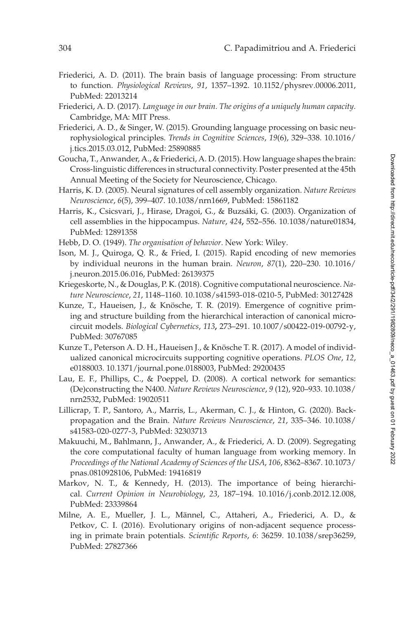- <span id="page-13-9"></span>Friederici, A. D. (2011). The brain basis of language processing: From structure to function. *Physiological Reviews*, *91*, 1357–1392. 10.[1152/physrev](https://doi.org/10.1152/physrev.00006.2011).00006.2011, PubMed: [22013214](https://www.ncbi.nlm.nih.gov/pubmed/22013214)
- <span id="page-13-10"></span>Friederici, A. D. (2017). *Language in our brain. The origins of a uniquely human capacity.* Cambridge, MA: MIT Press.
- <span id="page-13-2"></span>Friederici, A. D., & Singer, W. (2015). Grounding language processing on basic neurophysiological principles. *[Trends in Cognitive Sciences](https://doi.org/10.1016/j.tics.2015.03.012)*, *19*(6), 329–338. 10.1016/ j.tics.2015.03.012, PubMed: [25890885](https://www.ncbi.nlm.nih.gov/pubmed/25890885)
- <span id="page-13-11"></span>Goucha, T., Anwander, A., & Friederici, A. D. (2015). How language shapes the brain: Cross-linguistic differences in structural connectivity. Poster presented at the 45th Annual Meeting of the Society for Neuroscience, Chicago.
- <span id="page-13-1"></span>Harris, K. D. (2005). Neural signatures of cell assembly organization. *Nature Reviews Neuroscience*, *6*(5), 399–407. 10.[1038/nrn1669,](https://doi.org/10.1038/nrn1669) PubMed: [15861182](https://www.ncbi.nlm.nih.gov/pubmed/15861182)
- Harris, K., Csicsvari, J., Hirase, Dragoi, G., & Buzsáki, G. (2003). Organization of cell assemblies in the hippocampus. *Nature*, *424***,** 552–556. 10.[1038/nature01834,](https://doi.org/10.1038/nature01834) PubMed: [12891358](https://www.ncbi.nlm.nih.gov/pubmed/12891358)
- <span id="page-13-5"></span>Hebb, D. O. (1949). *The organisation of behavior*. New York: Wiley.
- <span id="page-13-6"></span>Ison, M. J., Quiroga, Q. R., & Fried, I. (2015). Rapid encoding of new memories [by individual neurons in the human brain.](https://doi.org/10.1016/j.neuron.2015.06.016) *Neuron*, *87*(1), 220–230. 10.1016/ j.neuron.2015.06.016, PubMed: [26139375](https://www.ncbi.nlm.nih.gov/pubmed/26139375)
- <span id="page-13-4"></span>Kriegeskorte, N., & Douglas, P. K. (2018). Cognitive computational neuroscience. *Nature Neuroscience*, *21*, 1148–1160. 10.[1038/s41593-018-0210-5,](https://doi.org/10.1038/s41593-018-0210-5) PubMed: [30127428](https://www.ncbi.nlm.nih.gov/pubmed/30127428)
- <span id="page-13-8"></span>Kunze, T., Haueisen, J., & Knösche, T. R. (2019). Emergence of cognitive priming and structure building from the hierarchical interaction of canonical microcircuit models. *Biological Cybernetics*, *113***,** 273–291. 10.[1007/s00422-019-00792-y,](https://doi.org/10.1007/s00422-019-00792-y) PubMed: [30767085](https://www.ncbi.nlm.nih.gov/pubmed/30767085)
- <span id="page-13-7"></span>Kunze T., Peterson A. D. H., Haueisen J., & Knösche T. R. (2017). A model of individualized canonical microcircuits supporting cognitive operations. *PLOS One*, *12*, e0188003. 10.[1371/journal](https://doi.org/10.1371/journal.pone.0188003).pone.0188003, PubMed: [29200435](https://www.ncbi.nlm.nih.gov/pubmed/29200435)
- Lau, E. F., Phillips, C., & Poeppel, D. (2008). A cortical network for semantics: (De)constructing the N400. *Nature Reviews Neuroscience*, *9* (12), 920–933. 10.1038/ [nrn2532, PubMed: 19020511](https://doi.org/10.1038/nrn2532)
- Lillicrap, T. P., Santoro, A., Marris, L., Akerman, C. J., & Hinton, G. (2020). Backpropagation and the Brain. *Nature Reviews Neuroscience*, *21*, 335–346. 10.1038/ [s41583-020-0277-3, PubMed: 32303713](https://doi.org/10.1038/s41583-020-0277-3)
- <span id="page-13-0"></span>Makuuchi, M., Bahlmann, J., Anwander, A., & Friederici, A. D. (2009). Segregating the core computational faculty of human language from working memory. In *[Proceedings of the National Academy of Sciences of the USA](https://doi.org/10.1073/pnas.0810928106)*, *106*, 8362–8367. 10.1073/ pnas.0810928106, PubMed: [19416819](https://www.ncbi.nlm.nih.gov/pubmed/19416819)
- Markov, N. T., & Kennedy, H. (2013). The importance of being hierarchical. *Current Opinion in Neurobiology*, *23*, 187–194. 10.[1016/j](https://doi.org/10.1016/j.conb.2012.12.008).conb.2012.12.008, PubMed: [23339864](https://www.ncbi.nlm.nih.gov/pubmed/23339864)
- <span id="page-13-3"></span>Milne, A. E., Mueller, J. L., Männel, C., Attaheri, A., Friederici, A. D., & Petkov, C. I. (2016). Evolutionary origins of non-adjacent sequence processing in primate brain potentials. *Scientific Reports*, *6*: 36259. 10.[1038/srep36259,](https://doi.org/10.1038/srep36259) PubMed: [27827366](https://www.ncbi.nlm.nih.gov/pubmed/27827366)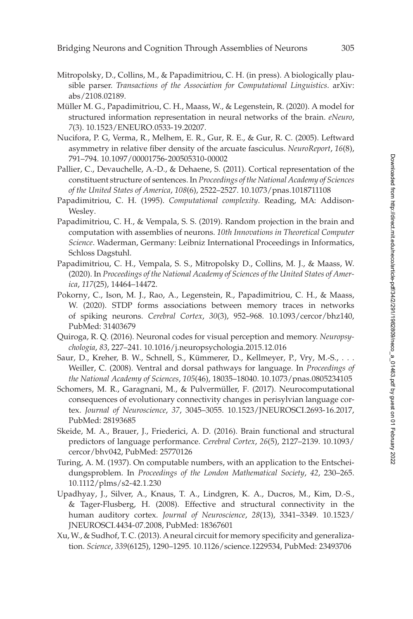- Mitropolsky, D., Collins, M., & Papadimitriou, C. H. (in press). A biologically plausible parser. *[Transactions of the Association for Computational Linguistics](https://arXiv:abs/2108.02189)*. arXiv: abs/2108.02189.
- <span id="page-14-3"></span>Müller M. G., Papadimitriou, C. H., Maass, W., & Legenstein, R. (2020). A model for structured information representation in neural networks of the brain. *eNeuro*, *7*(3). 10.[1523/ENEURO](https://doi.org/10.1523/ENEURO.0533-19.20207).0533-19.20207.
- <span id="page-14-8"></span>Nucifora, P. G, Verma, R., Melhem, E. R., Gur, R. E., & Gur, R. C. (2005). Leftward asymmetry in relative fiber density of the arcuate fasciculus. *NeuroReport*, *16*(8), 791–794. 10.[1097/00001756-200505310-00002](https://doi.org/10.1097/00001756-200505310-00002)
- <span id="page-14-7"></span>Pallier, C., Devauchelle, A.-D., & Dehaene, S. (2011). Cortical representation of the constituent structure of sentences. In *Proceedings of the National Academy of Sciences of the United States of America*, *108*(6), 2522–2527. 10.1073/pnas.[1018711108](https://doi.org/10.1073/pnas.1018711108)
- <span id="page-14-13"></span>Papadimitriou, C. H. (1995). *Computational complexity*. Reading, MA: Addison-Wesley.
- <span id="page-14-5"></span>Papadimitriou, C. H., & Vempala, S. S. (2019). Random projection in the brain and computation with assemblies of neurons. *10th Innovations in Theoretical Computer Science*. Waderman, Germany: Leibniz International Proceedings in Informatics, Schloss Dagstuhl.
- <span id="page-14-4"></span>Papadimitriou, C. H., Vempala, S. S., Mitropolsky D., Collins, M. J., & Maass, W. (2020). In *Proceedings of the National Academy of Sciences of the United States of America*, *117*(25), 14464–14472.
- <span id="page-14-2"></span>Pokorny, C., Ison, M. J., Rao, A., Legenstein, R., Papadimitriou, C. H., & Maass, W. (2020). STDP forms associations between memory traces in networks of spiking neurons. *Cerebral Cortex*, *30*(3), 952–968. 10.[1093/cercor/bhz140,](https://doi.org/10.1093/cercor/bhz140) PubMed: [31403679](https://www.ncbi.nlm.nih.gov/pubmed/31403679)
- <span id="page-14-1"></span>Quiroga, R. Q. (2016). Neuronal codes for visual perception and memory. *Neuropsychologia*, *83*, 227–241. 10.1016/j.[neuropsychologia](https://doi.org/10.1016/j.neuropsychologia.2015.12.016).2015.12.016
- <span id="page-14-11"></span>Saur, D., Kreher, B. W., Schnell, S., Kümmerer, D., Kellmeyer, P., Vry, M.-S., . . . Weiller, C. (2008). Ventral and dorsal pathways for language. In *Proceedings of the National Academy of Sciences*, *105*(46), 18035–18040. 10.1073/pnas.[0805234105](https://doi.org/10.1073/pnas.0805234105)
- <span id="page-14-0"></span>Schomers, M. R., Garagnani, M., & Pulvermüller, F. (2017). Neurocomputational consequences of evolutionary connectivity changes in perisylvian language cortex. *Journal of Neuroscience*, *37*, 3045–3055. 10.[1523/JNEUROSCI](https://doi.org/10.1523/JNEUROSCI.2693-16.2017).2693-16.2017, PubMed: [28193685](https://www.ncbi.nlm.nih.gov/pubmed/28193685)
- <span id="page-14-9"></span>Skeide, M. A., Brauer, J., Friederici, A. D. (2016). Brain functional and structural [predictors of language performance.](https://doi.org/10.1093/cercor/bhv042) *Cerebral Cortex*, *26*(5), 2127–2139. 10.1093/ cercor/bhv042, PubMed: [25770126](https://www.ncbi.nlm.nih.gov/pubmed/25770126)
- <span id="page-14-6"></span>Turing, A. M. (1937). On computable numbers, with an application to the Entscheidungsproblem. In *Proceedings of the London Mathematical Society*, *42*, 230–265. 10.[1112/plms/s2-42](https://doi.org/10.1112/plms/s2-42.1.230).1.230
- <span id="page-14-12"></span>Upadhyay, J., Silver, A., Knaus, T. A., Lindgren, K. A., Ducros, M., Kim, D.-S., & Tager-Flusberg, H. (2008). Effective and structural connectivity in the [human auditory cortex.](https://doi.org/10.1523/JNEUROSCI.4434-07.2008) *Journal of Neuroscience*, *28*(13), 3341–3349. 10.1523/ JNEUROSCI.4434-07.2008, PubMed: [18367601](https://www.ncbi.nlm.nih.gov/pubmed/18367601)
- <span id="page-14-10"></span>Xu, W., & Sudhof, T. C. (2013). A neural circuit for memory specificity and generalization. *Science*, *339*(6125), 1290–1295. 10.[1126/science](https://doi.org/10.1126/science.1229534).1229534, PubMed: [23493706](https://www.ncbi.nlm.nih.gov/pubmed/23493706)